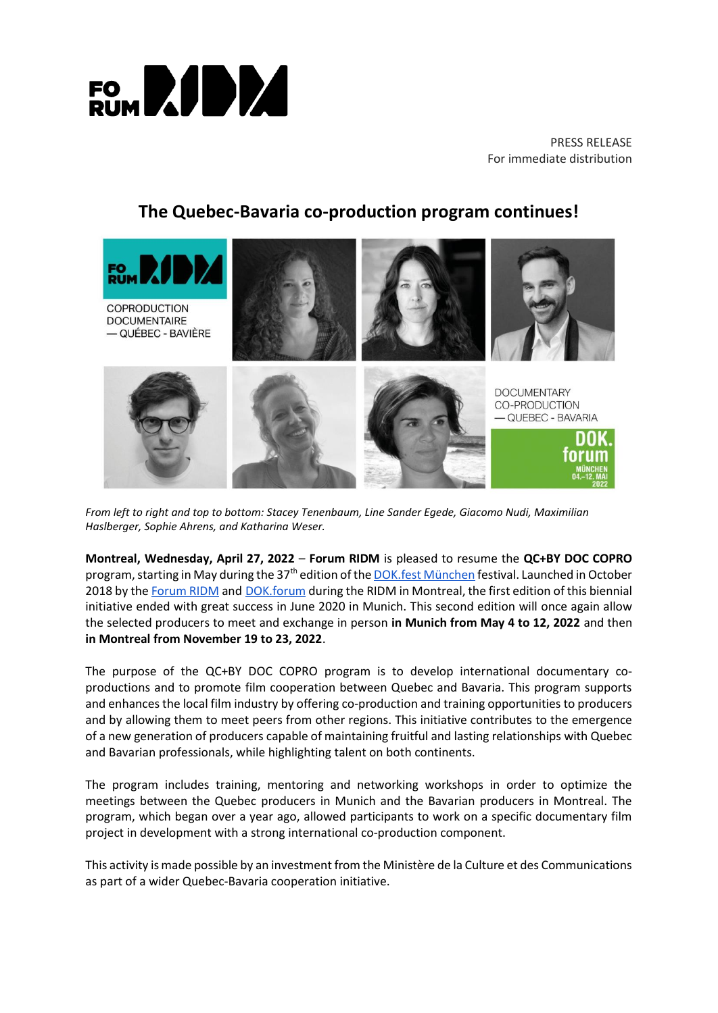

PRESS RELEASE For immediate distribution

# **The Quebec-Bavaria co-production program continues!**



*From left to right and top to bottom: Stacey Tenenbaum, Line Sander Egede, Giacomo Nudi, Maximilian Haslberger, Sophie Ahrens, and Katharina Weser.*

**Montreal, Wednesday, April 27, 2022** – **Forum RIDM** is pleased to resume the **QC+BY DOC COPRO** program, starting in May during the 37<sup>th</sup> edition of th[e DOK.fest München](https://www.dokfest-muenchen.de/) festival. Launched in October 2018 by th[e Forum RIDM](https://ridm.ca/fr/forum-ridm) and [DOK.forum](https://www.dokfest-muenchen.de/DOK_forum) during the RIDM in Montreal, the first edition of this biennial initiative ended with great success in June 2020 in Munich. This second edition will once again allow the selected producers to meet and exchange in person **in Munich from May 4 to 12, 2022** and then **in Montreal from November 19 to 23, 2022**.

The purpose of the QC+BY DOC COPRO program is to develop international documentary coproductions and to promote film cooperation between Quebec and Bavaria. This program supports and enhances the local film industry by offering co-production and training opportunities to producers and by allowing them to meet peers from other regions. This initiative contributes to the emergence of a new generation of producers capable of maintaining fruitful and lasting relationships with Quebec and Bavarian professionals, while highlighting talent on both continents.

The program includes training, mentoring and networking workshops in order to optimize the meetings between the Quebec producers in Munich and the Bavarian producers in Montreal. The program, which began over a year ago, allowed participants to work on a specific documentary film project in development with a strong international co-production component.

This activity is made possible by an investment from the Ministère de la Culture et des Communications as part of a wider Quebec-Bavaria cooperation initiative.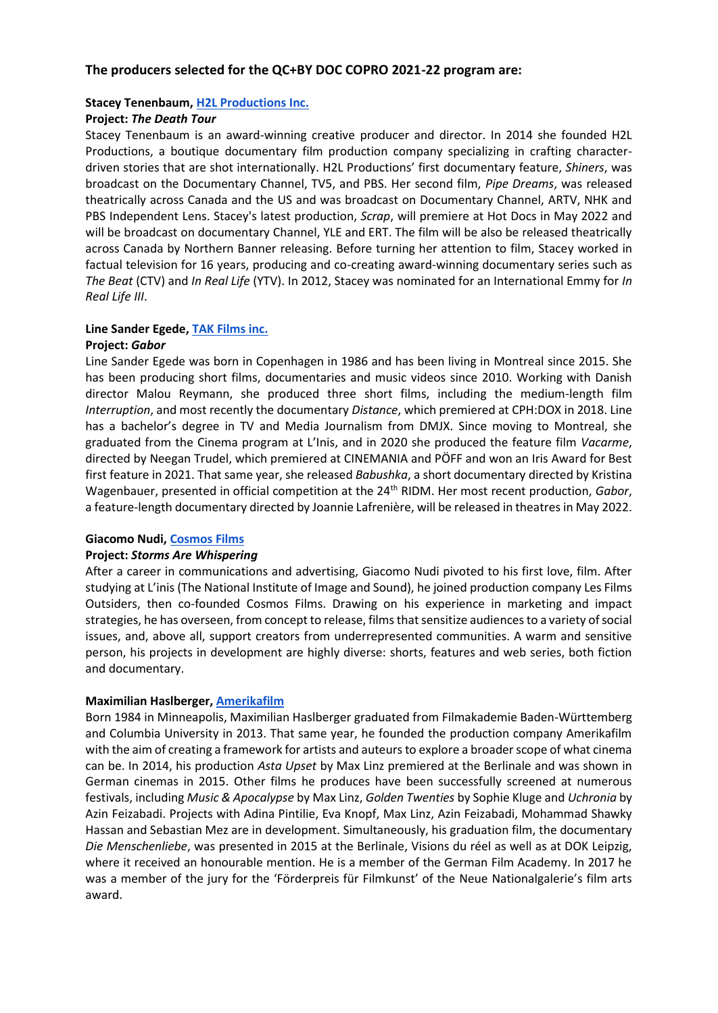# **The producers selected for the QC+BY DOC COPRO 2021-22 program are:**

# **Stacey Tenenbaum, [H2L Productions Inc.](http://www.h2lproductions.com/)**

# **Project:** *The Death Tour*

Stacey Tenenbaum is an award-winning creative producer and director. In 2014 she founded H2L Productions, a boutique documentary film production company specializing in crafting characterdriven stories that are shot internationally. H2L Productions' first documentary feature, *Shiners*, was broadcast on the Documentary Channel, TV5, and PBS. Her second film, *Pipe Dreams*, was released theatrically across Canada and the US and was broadcast on Documentary Channel, ARTV, NHK and PBS Independent Lens. Stacey's latest production, *Scrap*, will premiere at Hot Docs in May 2022 and will be broadcast on documentary Channel, YLE and ERT. The film will be also be released theatrically across Canada by Northern Banner releasing. Before turning her attention to film, Stacey worked in factual television for 16 years, producing and co-creating award-winning documentary series such as *The Beat* (CTV) and *In Real Life* (YTV). In 2012, Stacey was nominated for an International Emmy for *In Real Life III*.

# **Line Sander Egede[, TAK Films inc.](https://www.facebook.com/takfilmsinc/)**

# **Project:** *Gabor*

Line Sander Egede was born in Copenhagen in 1986 and has been living in Montreal since 2015. She has been producing short films, documentaries and music videos since 2010. Working with Danish director Malou Reymann, she produced three short films, including the medium-length film *Interruption*, and most recently the documentary *Distance*, which premiered at CPH:DOX in 2018. Line has a bachelor's degree in TV and Media Journalism from DMJX. Since moving to Montreal, she graduated from the Cinema program at L'Inis, and in 2020 she produced the feature film *Vacarme*, directed by Neegan Trudel, which premiered at CINEMANIA and PÖFF and won an Iris Award for Best first feature in 2021. That same year, she released *Babushka*, a short documentary directed by Kristina Wagenbauer, presented in official competition at the 24th RIDM. Her most recent production, *Gabor*, a feature-length documentary directed by Joannie Lafrenière, will be released in theatres in May 2022.

#### **Giacomo Nudi, [Cosmos Films](https://filmscosmos.com/)**

#### **Project:** *Storms Are Whispering*

After a career in communications and advertising, Giacomo Nudi pivoted to his first love, film. After studying at L'inis (The National Institute of Image and Sound), he joined production company Les Films Outsiders, then co-founded Cosmos Films. Drawing on his experience in marketing and impact strategies, he has overseen, from concept to release, films that sensitize audiences to a variety of social issues, and, above all, support creators from underrepresented communities. A warm and sensitive person, his projects in development are highly diverse: shorts, features and web series, both fiction and documentary.

#### **Maximilian Haslberger, [Amerikafilm](https://www.amerikafilm.de/About)**

Born 1984 in Minneapolis, Maximilian Haslberger graduated from Filmakademie Baden-Württemberg and Columbia University in 2013. That same year, he founded the production company Amerikafilm with the aim of creating a framework for artists and auteurs to explore a broader scope of what cinema can be. In 2014, his production *Asta Upset* by Max Linz premiered at the Berlinale and was shown in German cinemas in 2015. Other films he produces have been successfully screened at numerous festivals, including *Music & Apocalypse* by Max Linz, *Golden Twenties* by Sophie Kluge and *Uchronia* by Azin Feizabadi. Projects with Adina Pintilie, Eva Knopf, Max Linz, Azin Feizabadi, Mohammad Shawky Hassan and Sebastian Mez are in development. Simultaneously, his graduation film, the documentary *Die Menschenliebe*, was presented in 2015 at the Berlinale, Visions du réel as well as at DOK Leipzig, where it received an honourable mention. He is a member of the German Film Academy. In 2017 he was a member of the jury for the 'Förderpreis für Filmkunst' of the Neue Nationalgalerie's film arts award.